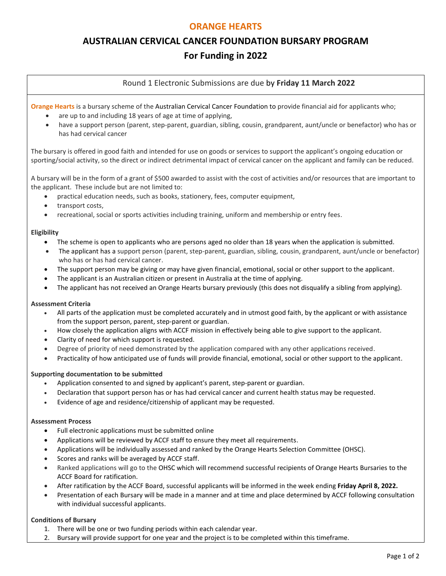# **ORANGE HEARTS**

# **AUSTRALIAN CERVICAL CANCER FOUNDATION BURSARY PROGRAM For Funding in 2022**

# Round 1 Electronic Submissions are due by **Friday 11 March 2022**

**Orange Hearts** is a bursary scheme of the Australian Cervical Cancer Foundation to provide financial aid for applicants who;

- are up to and including 18 years of age at time of applying,
- have a support person (parent, step-parent, guardian, sibling, cousin, grandparent, aunt/uncle or benefactor) who has or has had cervical cancer

The bursary is offered in good faith and intended for use on goods or services to support the applicant's ongoing education or sporting/social activity, so the direct or indirect detrimental impact of cervical cancer on the applicant and family can be reduced.

A bursary will be in the form of a grant of \$500 awarded to assist with the cost of activities and/or resources that are important to the applicant. These include but are not limited to:

- practical education needs, such as books, stationery, fees, computer equipment,
- transport costs.
- recreational, social or sports activities including training, uniform and membership or entry fees.

#### **Eligibility**

- The scheme is open to applicants who are persons aged no older than 18 years when the application is submitted.
- The applicant has a support person (parent, step-parent, guardian, sibling, cousin, grandparent, aunt/uncle or benefactor) who has or has had cervical cancer.
- The support person may be giving or may have given financial, emotional, social or other support to the applicant.
- The applicant is an Australian citizen or present in Australia at the time of applying.
- The applicant has not received an Orange Hearts bursary previously (this does not disqualify a sibling from applying).

#### **Assessment Criteria**

- All parts of the application must be completed accurately and in utmost good faith, by the applicant or with assistance from the support person, parent, step-parent or guardian.
- How closely the application aligns with ACCF mission in effectively being able to give support to the applicant.
- Clarity of need for which support is requested.
- Degree of priority of need demonstrated by the application compared with any other applications received.
- Practicality of how anticipated use of funds will provide financial, emotional, social or other support to the applicant.

## **Supporting documentation to be submitted**

- Application consented to and signed by applicant's parent, step-parent or guardian.
- Declaration that support person has or has had cervical cancer and current health status may be requested.
- Evidence of age and residence/citizenship of applicant may be requested.

#### **Assessment Process**

- Full electronic applications must be submitted online
- Applications will be reviewed by ACCF staff to ensure they meet all requirements.
- Applications will be individually assessed and ranked by the Orange Hearts Selection Committee (OHSC).
- Scores and ranks will be averaged by ACCF staff.
- Ranked applications will go to the OHSC which will recommend successful recipients of Orange Hearts Bursaries to the ACCF Board for ratification.
- After ratification by the ACCF Board, successful applicants will be informed in the week ending **Friday April 8, 2022.**
- Presentation of each Bursary will be made in a manner and at time and place determined by ACCF following consultation with individual successful applicants.

## **Conditions of Bursary**

- 1. There will be one or two funding periods within each calendar year.
- 2. Bursary will provide support for one year and the project is to be completed within this timeframe.